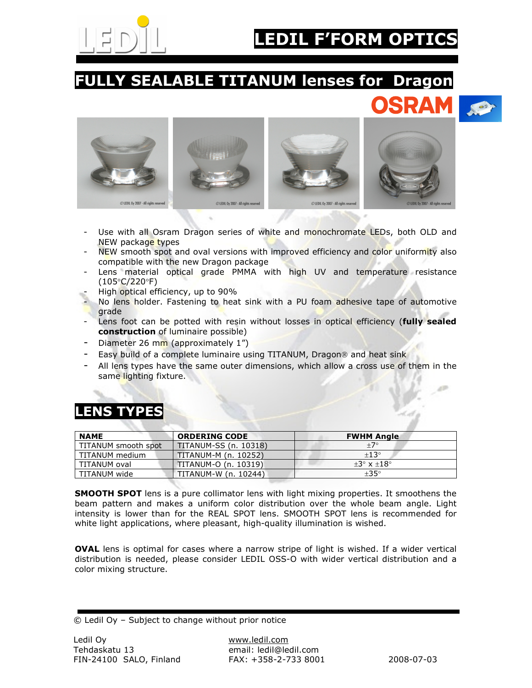

# **F'FORM OPT**

### FULLY SEALABLE TITANUM lenses for Dragon





- Use with all Osram Dragon series of white and monochromate LEDs, both OLD and NEW package types
- NEW smooth spot and oval versions with improved efficiency and color uniformity also compatible with the new Dragon package
- Lens material optical grade PMMA with high UV and temperature resistance (105°C/220°F)
- High optical efficiency, up to 90%
- No lens holder. Fastening to heat sink with a PU foam adhesive tape of automotive grade
- Lens foot can be potted with resin without losses in optical efficiency (fully sealed construction of luminaire possible)
- Diameter 26 mm (approximately 1")
- Easy build of a complete luminaire using TITANUM, Dragon<sup>®</sup> and heat sink
- All lens types have the same outer dimensions, which allow a cross use of them in the same lighting fixture.

#### LENS T

| and company<br><b>NAME</b> | <b>ORDERING CODE</b>  | <b>FWHM Angle</b>           |
|----------------------------|-----------------------|-----------------------------|
| TITANUM smooth spot        | TITANUM-SS (n. 10318) | $+7^\circ$                  |
| TITANUM medium             | TITANUM-M (n. 10252)  | $+13^\circ$                 |
| TITANUM oval               | TITANUM-O (n. 10319)  | $+3^\circ \times +18^\circ$ |
| TITANUM wide               | TITANUM-W (n. 10244)  | $\pm 35^{\circ}$            |

**SMOOTH SPOT** lens is a pure collimator lens with light mixing properties. It smoothens the beam pattern and makes a uniform color distribution over the whole beam angle. Light intensity is lower than for the REAL SPOT lens. SMOOTH SPOT lens is recommended for white light applications, where pleasant, high-quality illumination is wished.

OVAL lens is optimal for cases where a narrow stripe of light is wished. If a wider vertical distribution is needed, please consider LEDIL OSS-O with wider vertical distribution and a color mixing structure.

© Ledil Oy – Subject to change without prior notice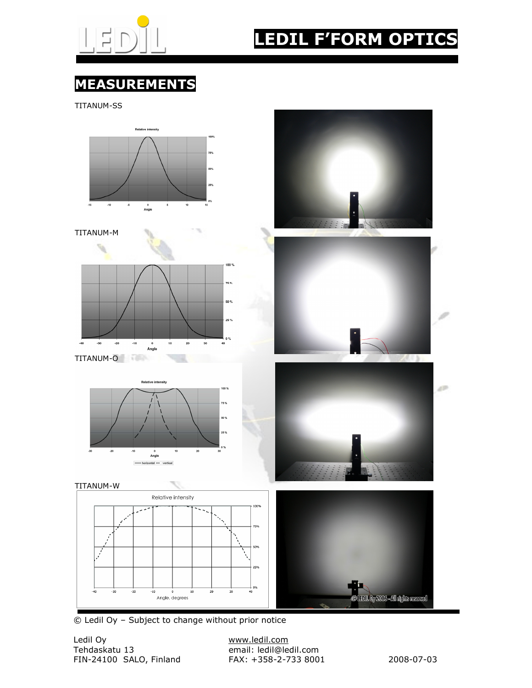

## EDIL F'FORM OPTIC

### MEASUREMENTS

TITANUM-SS



© Ledil Oy – Subject to change without prior notice

Ledil Oy www.ledil.com FIN-24100 SALO, Finland FAX: +358-2-733 8001 2008-07-03

email: ledil@ledil.com<br>FAX: +358-2-733 8001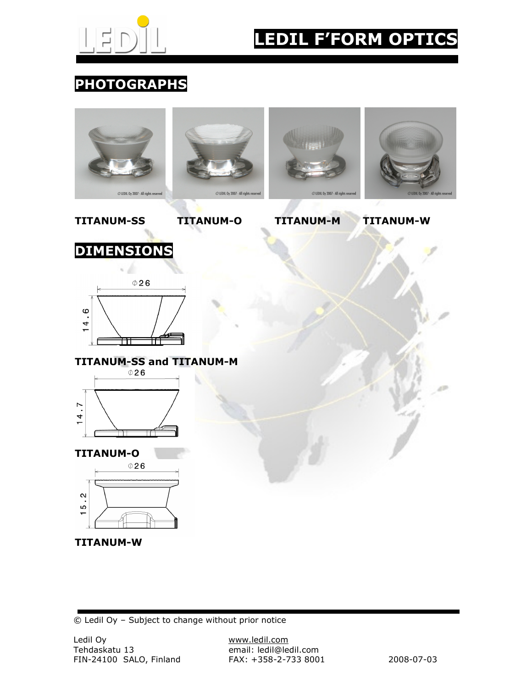

## LEDIL F'FORM OPTICS

### PHOTOGRAPHS



© Ledil Oy – Subject to change without prior notice